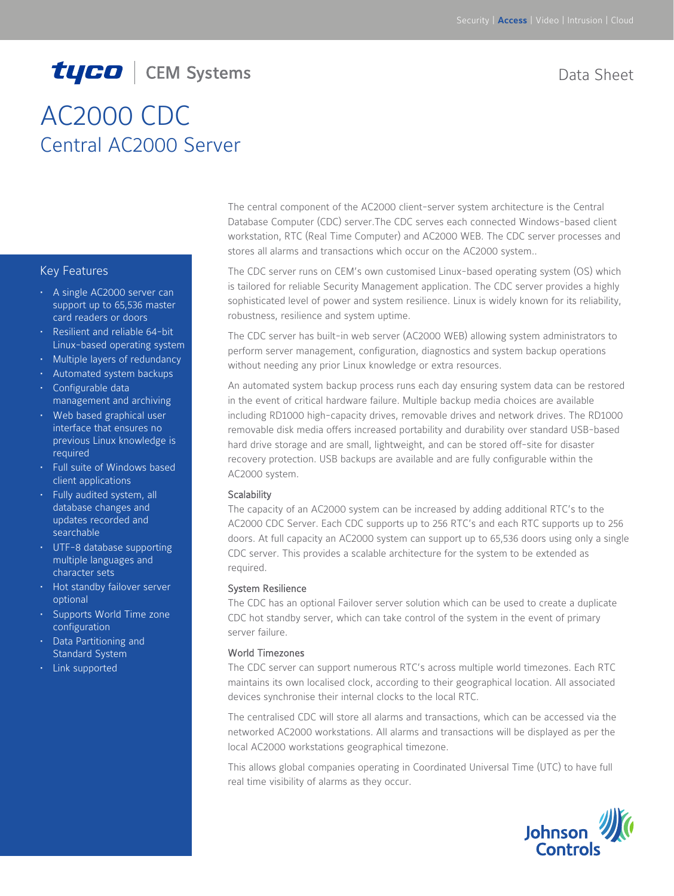# tyco | CEM Systems

# AC2000 CDC Central AC2000 Server

#### Key Features

- A single AC2000 server can support up to 65,536 master card readers or doors
- Resilient and reliable 64-bit Linux-based operating system
- Multiple layers of redundancy
- Automated system backups
- Configurable data management and archiving
- Web based graphical user interface that ensures no previous Linux knowledge is required
- Full suite of Windows based client applications
- Fully audited system, all database changes and updates recorded and searchable
- UTF-8 database supporting multiple languages and character sets
- Hot standby failover server optional
- Supports World Time zone configuration
- Data Partitioning and Standard System
- Link supported

Data Sheet

The central component of the AC2000 client-server system architecture is the Central Database Computer (CDC) server.The CDC serves each connected Windows-based client workstation, RTC (Real Time Computer) and AC2000 WEB. The CDC server processes and stores all alarms and transactions which occur on the AC2000 system..

The CDC server runs on CEM's own customised Linux-based operating system (OS) which is tailored for reliable Security Management application. The CDC server provides a highly sophisticated level of power and system resilience. Linux is widely known for its reliability, robustness, resilience and system uptime.

The CDC server has built-in web server (AC2000 WEB) allowing system administrators to perform server management, configuration, diagnostics and system backup operations without needing any prior Linux knowledge or extra resources.

An automated system backup process runs each day ensuring system data can be restored in the event of critical hardware failure. Multiple backup media choices are available including RD1000 high-capacity drives, removable drives and network drives. The RD1000 removable disk media offers increased portability and durability over standard USB-based hard drive storage and are small, lightweight, and can be stored off-site for disaster recovery protection. USB backups are available and are fully configurable within the AC2000 system.

#### **Scalability**

The capacity of an AC2000 system can be increased by adding additional RTC's to the AC2000 CDC Server. Each CDC supports up to 256 RTC's and each RTC supports up to 256 doors. At full capacity an AC2000 system can support up to 65,536 doors using only a single CDC server. This provides a scalable architecture for the system to be extended as required.

#### System Resilience

The CDC has an optional Failover server solution which can be used to create a duplicate CDC hot standby server, which can take control of the system in the event of primary server failure.

#### World Timezones

The CDC server can support numerous RTC's across multiple world timezones. Each RTC maintains its own localised clock, according to their geographical location. All associated devices synchronise their internal clocks to the local RTC.

The centralised CDC will store all alarms and transactions, which can be accessed via the networked AC2000 workstations. All alarms and transactions will be displayed as per the local AC2000 workstations geographical timezone.

This allows global companies operating in Coordinated Universal Time (UTC) to have full real time visibility of alarms as they occur.

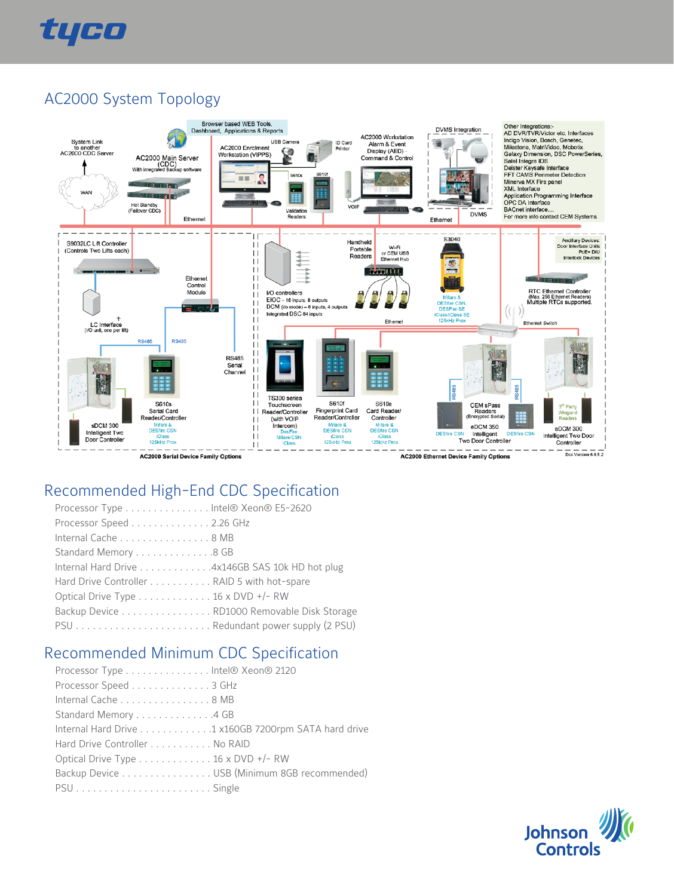

### AC2000 System Topology



## Recommended High-End CDC Specification

| Processor Type htel® Xeon® E5-2620              |  |
|-------------------------------------------------|--|
| Processor Speed 2.26 GHz                        |  |
| Internal Cache 8 MB                             |  |
| Standard Memory 8 GB                            |  |
| Internal Hard Drive 4x146GB SAS 10k HD hot plug |  |
| Hard Drive Controller RAID 5 with hot-spare     |  |
| Optical Drive Type 16 x DVD +/- RW              |  |
| Backup Device RD1000 Removable Disk Storage     |  |
|                                                 |  |
|                                                 |  |

### Recommended Minimum CDC Specification

| Processor Type Intel® Xeon® 2120                     |  |
|------------------------------------------------------|--|
| Processor Speed 3 GHz                                |  |
| Internal Cache 8 MB                                  |  |
| Standard Memory 4 GB                                 |  |
| Internal Hard Drive 1 x160GB 7200rpm SATA hard drive |  |
| Hard Drive Controller No RAID                        |  |
| Optical Drive Type 16 x DVD +/- RW                   |  |
| Backup Device USB (Minimum 8GB recommended)          |  |
|                                                      |  |